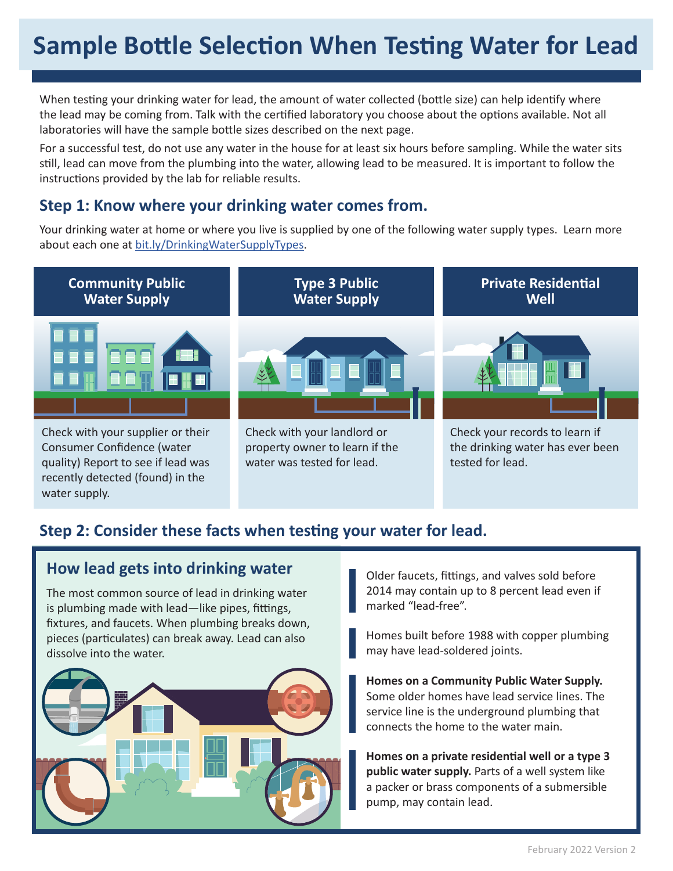# **Sample Bottle Selection When Testing Water for Lead**

When testing your drinking water for lead, the amount of water collected (bottle size) can help identify where the lead may be coming from. Talk with the certified laboratory you choose about the options available. Not all laboratories will have the sample bottle sizes described on the next page.

For a successful test, do not use any water in the house for at least six hours before sampling. While the water sits still, lead can move from the plumbing into the water, allowing lead to be measured. It is important to follow the instructions provided by the lab for reliable results.

#### **Step 1: Know where your drinking water comes from.**

Your drinking water at home or where you live is supplied by one of the following water supply types. Learn more about each one at bit.ly/DrinkingWaterSupplyTypes.



### **Step 2: Consider these facts when testing your water for lead.**

#### **How lead gets into drinking water**

water supply.

The most common source of lead in drinking water is plumbing made with lead—like pipes, fittings, fixtures, and faucets. When plumbing breaks down, pieces (particulates) can break away. Lead can also dissolve into the water.



Older faucets, fittings, and valves sold before 2014 may contain up to 8 percent lead even if marked "lead-free".

Homes built before 1988 with copper plumbing may have lead-soldered joints.

**Homes on a Community Public Water Supply.**  Some older homes have lead service lines. The service line is the underground plumbing that connects the home to the water main.

**Homes on a private residential well or a type 3 public water supply.** Parts of a well system like a packer or brass components of a submersible pump, may contain lead.